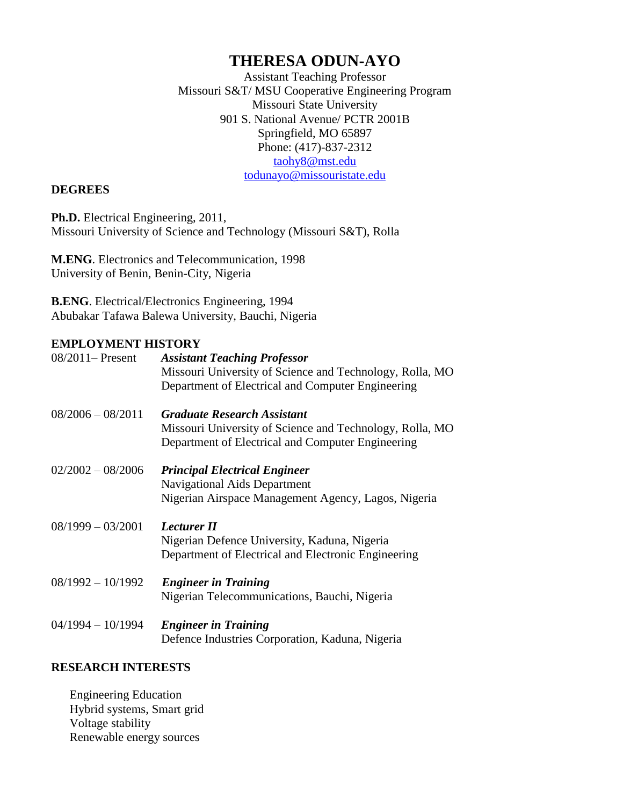# **THERESA ODUN-AYO**

Assistant Teaching Professor Missouri S&T/ MSU Cooperative Engineering Program Missouri State University 901 S. National Avenue/ PCTR 2001B Springfield, MO 65897 Phone: (417)-837-2312 [taohy8@mst.edu](mailto:okafor@mst.edu) [todunayo@missouristate.edu](mailto:todunayo@missouristate.edu) 

### **DEGREES**

**Ph.D.** Electrical Engineering, 2011, Missouri University of Science and Technology (Missouri S&T), Rolla

**M.ENG**. Electronics and Telecommunication, 1998 University of Benin, Benin-City, Nigeria

**B.ENG**. Electrical/Electronics Engineering, 1994 Abubakar Tafawa Balewa University, Bauchi, Nigeria

# **EMPLOYMENT HISTORY**

| $08/2011 -$ Present | <b>Assistant Teaching Professor</b><br>Missouri University of Science and Technology, Rolla, MO<br>Department of Electrical and Computer Engineering |
|---------------------|------------------------------------------------------------------------------------------------------------------------------------------------------|
| $08/2006 - 08/2011$ | <b>Graduate Research Assistant</b><br>Missouri University of Science and Technology, Rolla, MO<br>Department of Electrical and Computer Engineering  |
| $02/2002 - 08/2006$ | <b>Principal Electrical Engineer</b><br><b>Navigational Aids Department</b><br>Nigerian Airspace Management Agency, Lagos, Nigeria                   |
| $08/1999 - 03/2001$ | Lecturer II<br>Nigerian Defence University, Kaduna, Nigeria<br>Department of Electrical and Electronic Engineering                                   |
| $08/1992 - 10/1992$ | <b>Engineer in Training</b><br>Nigerian Telecommunications, Bauchi, Nigeria                                                                          |
| $04/1994 - 10/1994$ | <b>Engineer in Training</b><br>Defence Industries Corporation, Kaduna, Nigeria                                                                       |

## **RESEARCH INTERESTS**

Engineering Education Hybrid systems, Smart grid Voltage stability Renewable energy sources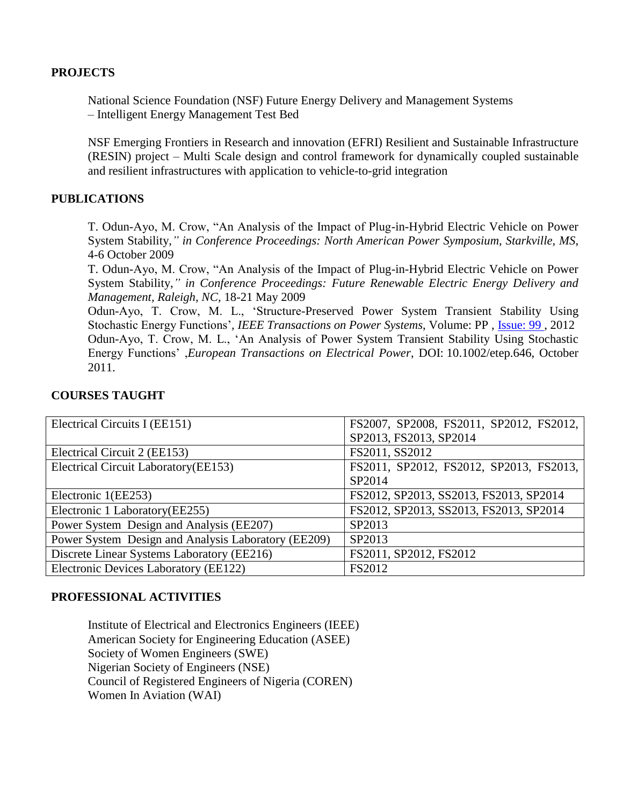#### **PROJECTS**

National Science Foundation (NSF) Future Energy Delivery and Management Systems – Intelligent Energy Management Test Bed

NSF Emerging Frontiers in Research and innovation (EFRI) Resilient and Sustainable Infrastructure (RESIN) project – Multi Scale design and control framework for dynamically coupled sustainable and resilient infrastructures with application to vehicle-to-grid integration

### **PUBLICATIONS**

T. Odun-Ayo, M. Crow, "An Analysis of the Impact of Plug-in-Hybrid Electric Vehicle on Power System Stability,*" in Conference Proceedings: North American Power Symposium, Starkville, MS*, 4-6 October 2009

T. Odun-Ayo, M. Crow, "An Analysis of the Impact of Plug-in-Hybrid Electric Vehicle on Power System Stability,*" in Conference Proceedings: Future Renewable Electric Energy Delivery and Management, Raleigh, NC,* 18-21 May 2009

Odun-Ayo, T. Crow, M. L., 'Structure-Preserved Power System Transient Stability Using Stochastic Energy Functions'*, IEEE Transactions on Power Systems*, Volume: PP , [Issue: 99 ,](http://ieeexplore.ieee.org.libproxy.mst.edu/xpl/tocresult.jsp?isnumber=4374138) 2012 Odun-Ayo, T. Crow, M. L., 'An Analysis of Power System Transient Stability Using Stochastic Energy Functions' ,*European Transactions on Electrical Power*, DOI: 10.1002/etep.646, October 2011.

| Electrical Circuits I (EE151)                       | FS2007, SP2008, FS2011, SP2012, FS2012, |
|-----------------------------------------------------|-----------------------------------------|
|                                                     | SP2013, FS2013, SP2014                  |
| Electrical Circuit 2 (EE153)                        | FS2011, SS2012                          |
| Electrical Circuit Laboratory (EE153)               | FS2011, SP2012, FS2012, SP2013, FS2013, |
|                                                     | SP2014                                  |
| Electronic 1(EE253)                                 | FS2012, SP2013, SS2013, FS2013, SP2014  |
| Electronic 1 Laboratory (EE255)                     | FS2012, SP2013, SS2013, FS2013, SP2014  |
| Power System Design and Analysis (EE207)            | SP2013                                  |
| Power System Design and Analysis Laboratory (EE209) | SP2013                                  |
| Discrete Linear Systems Laboratory (EE216)          | FS2011, SP2012, FS2012                  |
| Electronic Devices Laboratory (EE122)               | <b>FS2012</b>                           |

#### **COURSES TAUGHT**

#### **PROFESSIONAL ACTIVITIES**

Institute of Electrical and Electronics Engineers (IEEE) American Society for Engineering Education (ASEE) Society of Women Engineers (SWE) Nigerian Society of Engineers (NSE) Council of Registered Engineers of Nigeria (COREN) Women In Aviation (WAI)